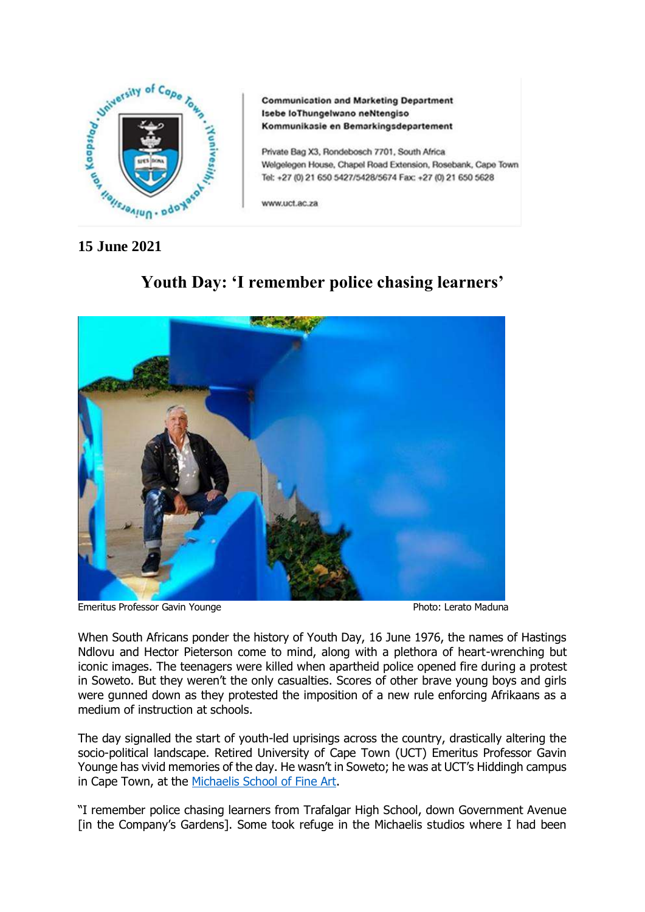

**Communication and Marketing Department** Isebe loThungelwano neNtengiso Kommunikasie en Bemarkingsdepartement

Private Bag X3, Rondebosch 7701, South Africa Welgelegen House, Chapel Road Extension, Rosebank, Cape Town Tel: +27 (0) 21 650 5427/5428/5674 Fax: +27 (0) 21 650 5628

www.uct.ac.za

# Emeritus Professor Gavin Younge **Photo: Lerato Maduna**

# **Youth Day: 'I remember police chasing learners'**

When South Africans ponder the history of Youth Day, 16 June 1976, the names of Hastings Ndlovu and Hector Pieterson come to mind, along with a plethora of heart-wrenching but iconic images. The teenagers were killed when apartheid police opened fire during a protest in Soweto. But they weren't the only casualties. Scores of other brave young boys and girls were gunned down as they protested the imposition of a new rule enforcing Afrikaans as a medium of instruction at schools.

The day signalled the start of youth-led uprisings across the country, drastically altering the socio-political landscape. Retired University of Cape Town (UCT) Emeritus Professor Gavin Younge has vivid memories of the day. He wasn't in Soweto; he was at UCT's Hiddingh campus in Cape Town, at the [Michaelis School of Fine Art.](http://www.michaelis.uct.ac.za/)

"I remember police chasing learners from Trafalgar High School, down Government Avenue [in the Company's Gardens]. Some took refuge in the Michaelis studios where I had been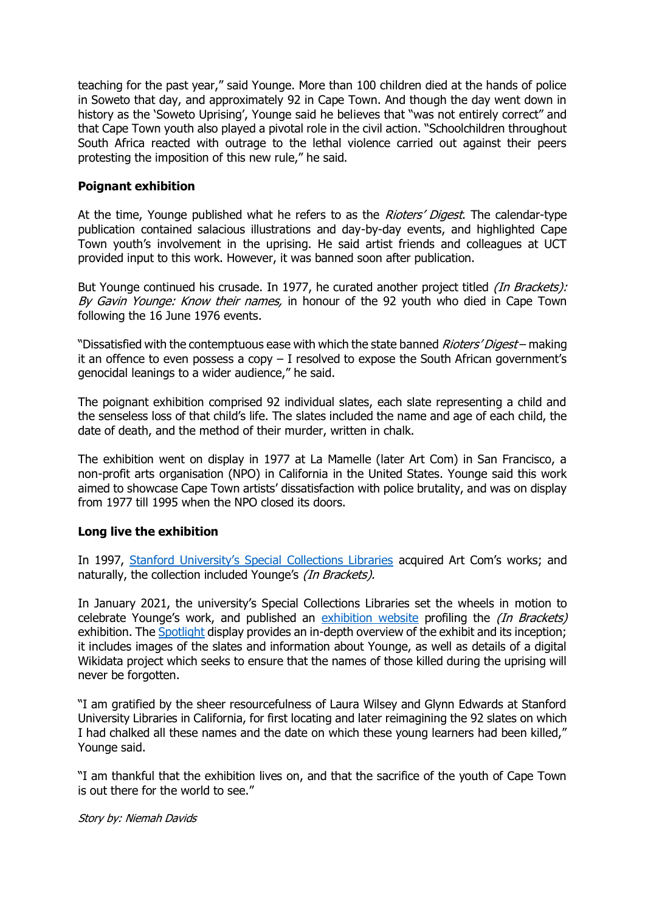teaching for the past year," said Younge. More than 100 children died at the hands of police in Soweto that day, and approximately 92 in Cape Town. And though the day went down in history as the 'Soweto Uprising', Younge said he believes that "was not entirely correct" and that Cape Town youth also played a pivotal role in the civil action. "Schoolchildren throughout South Africa reacted with outrage to the lethal violence carried out against their peers protesting the imposition of this new rule," he said.

### **Poignant exhibition**

At the time, Younge published what he refers to as the *Rioters' Digest*. The calendar-type publication contained salacious illustrations and day-by-day events, and highlighted Cape Town youth's involvement in the uprising. He said artist friends and colleagues at UCT provided input to this work. However, it was banned soon after publication.

But Younge continued his crusade. In 1977, he curated another project titled *(In Brackets):* By Gavin Younge: Know their names, in honour of the 92 youth who died in Cape Town following the 16 June 1976 events.

"Dissatisfied with the contemptuous ease with which the state banned *Rioters' Digest* – making it an offence to even possess a copy – I resolved to expose the South African government's genocidal leanings to a wider audience," he said.

The poignant exhibition comprised 92 individual slates, each slate representing a child and the senseless loss of that child's life. The slates included the name and age of each child, the date of death, and the method of their murder, written in chalk.

The exhibition went on display in 1977 at La Mamelle (later Art Com) in San Francisco, a non-profit arts organisation (NPO) in California in the United States. Younge said this work aimed to showcase Cape Town artists' dissatisfaction with police brutality, and was on display from 1977 till 1995 when the NPO closed its doors.

## **Long live the exhibition**

In 1997, [Stanford University's Special Collections Libraries](https://library.stanford.edu/spc) acquired Art Com's works; and naturally, the collection included Younge's (In Brackets).

In January 2021, the university's Special Collections Libraries set the wheels in motion to celebrate Younge's work, and published an [exhibition website](https://exhibits.stanford.edu/younge) profiling the *(In Brackets)* exhibition. The [Spotlight](https://library.stanford.edu/blogs/special-collections-unbound/2021/01/brackets-new-spotlight-exhibit-just-posted) display provides an in-depth overview of the exhibit and its inception; it includes images of the slates and information about Younge, as well as details of a digital Wikidata project which seeks to ensure that the names of those killed during the uprising will never be forgotten.

"I am gratified by the sheer resourcefulness of Laura Wilsey and Glynn Edwards at Stanford University Libraries in California, for first locating and later reimagining the 92 slates on which I had chalked all these names and the date on which these young learners had been killed," Younge said.

"I am thankful that the exhibition lives on, and that the sacrifice of the youth of Cape Town is out there for the world to see."

Story by: Niemah Davids